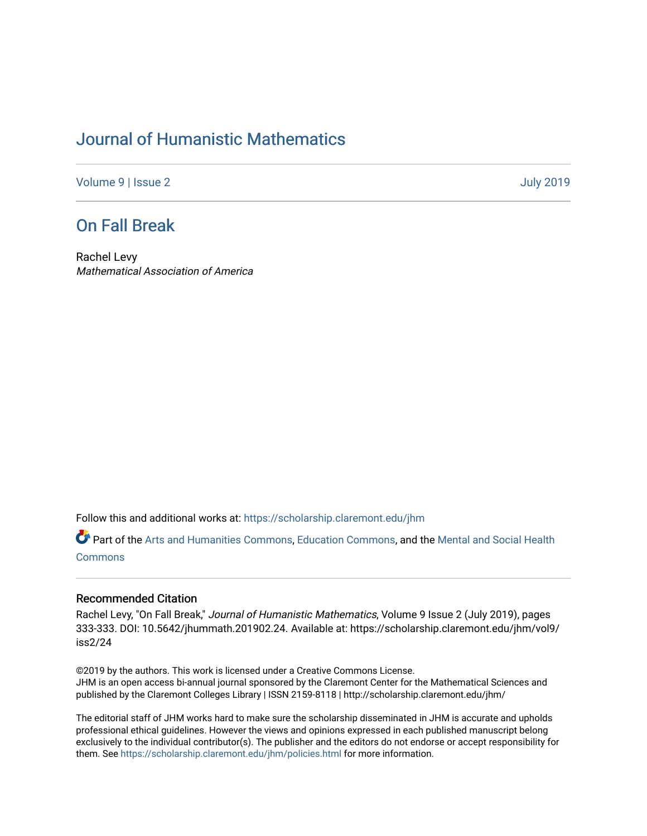# [Journal of Humanistic Mathematics](https://scholarship.claremont.edu/jhm)

[Volume 9](https://scholarship.claremont.edu/jhm/vol9) | [Issue 2](https://scholarship.claremont.edu/jhm/vol9/iss2) [July 2019](https://scholarship.claremont.edu/jhm/vol9/iss2) 

### [On Fall Break](https://scholarship.claremont.edu/jhm/vol9/iss2/24)

Rachel Levy Mathematical Association of America

Follow this and additional works at: [https://scholarship.claremont.edu/jhm](https://scholarship.claremont.edu/jhm?utm_source=scholarship.claremont.edu%2Fjhm%2Fvol9%2Fiss2%2F24&utm_medium=PDF&utm_campaign=PDFCoverPages)

Part of the [Arts and Humanities Commons,](http://network.bepress.com/hgg/discipline/438?utm_source=scholarship.claremont.edu%2Fjhm%2Fvol9%2Fiss2%2F24&utm_medium=PDF&utm_campaign=PDFCoverPages) [Education Commons](http://network.bepress.com/hgg/discipline/784?utm_source=scholarship.claremont.edu%2Fjhm%2Fvol9%2Fiss2%2F24&utm_medium=PDF&utm_campaign=PDFCoverPages), and the [Mental and Social Health](http://network.bepress.com/hgg/discipline/709?utm_source=scholarship.claremont.edu%2Fjhm%2Fvol9%2Fiss2%2F24&utm_medium=PDF&utm_campaign=PDFCoverPages) **[Commons](http://network.bepress.com/hgg/discipline/709?utm_source=scholarship.claremont.edu%2Fjhm%2Fvol9%2Fiss2%2F24&utm_medium=PDF&utm_campaign=PDFCoverPages)** 

#### Recommended Citation

Rachel Levy, "On Fall Break," Journal of Humanistic Mathematics, Volume 9 Issue 2 (July 2019), pages 333-333. DOI: 10.5642/jhummath.201902.24. Available at: https://scholarship.claremont.edu/jhm/vol9/ iss2/24

©2019 by the authors. This work is licensed under a Creative Commons License. JHM is an open access bi-annual journal sponsored by the Claremont Center for the Mathematical Sciences and published by the Claremont Colleges Library | ISSN 2159-8118 | http://scholarship.claremont.edu/jhm/

The editorial staff of JHM works hard to make sure the scholarship disseminated in JHM is accurate and upholds professional ethical guidelines. However the views and opinions expressed in each published manuscript belong exclusively to the individual contributor(s). The publisher and the editors do not endorse or accept responsibility for them. See<https://scholarship.claremont.edu/jhm/policies.html> for more information.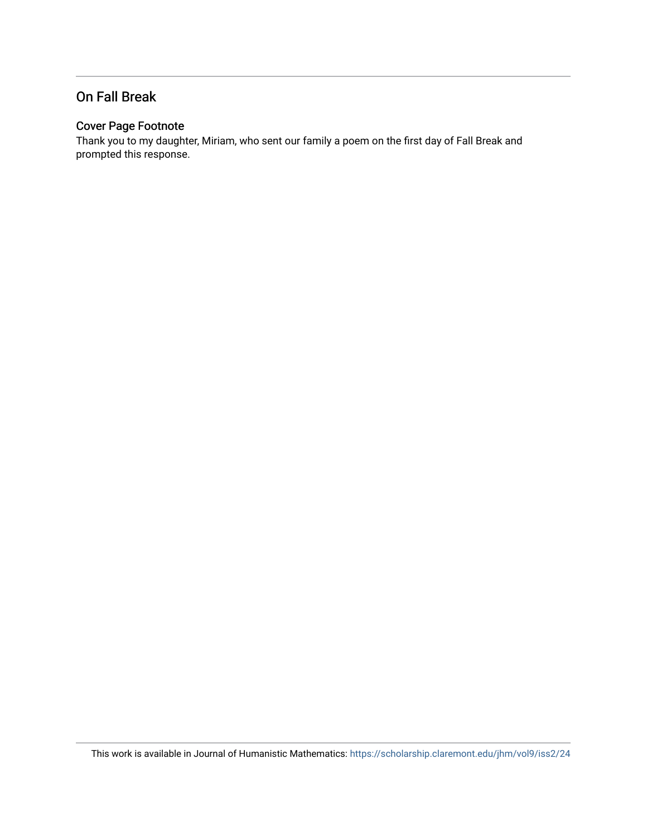#### On Fall Break

#### Cover Page Footnote

Thank you to my daughter, Miriam, who sent our family a poem on the first day of Fall Break and prompted this response.

This work is available in Journal of Humanistic Mathematics:<https://scholarship.claremont.edu/jhm/vol9/iss2/24>